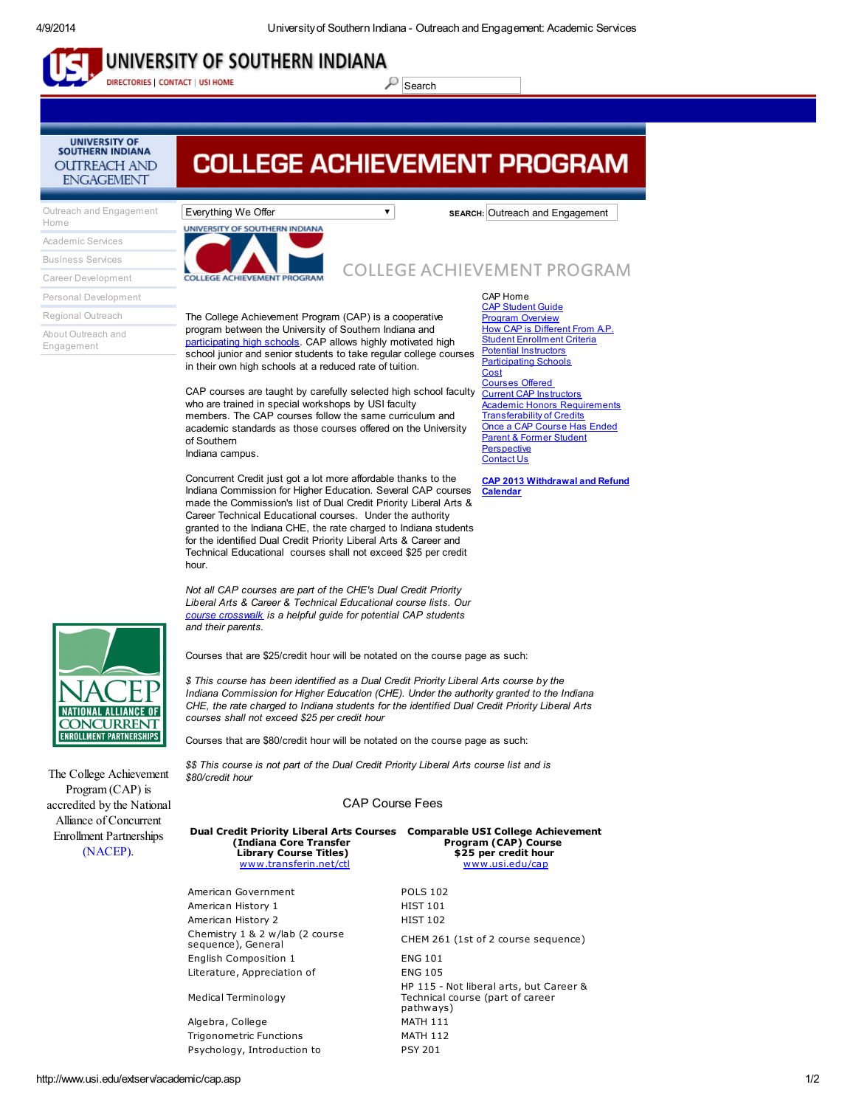## UNIVERSITY OF SOUTHERN INDIANA

DIRECTORIES | CONTACT | USI HOME

 $\mathcal{S}$  Search

# **COLLEGE ACHIEVEMENT PROGRAM**

Outreach and [Engagement](http://www.usi.edu/outreach/index.asp) Home

**UNIVERSITY OF SOUTHERN INDIANA** 

**OUTREACH AND ENGAGEMENT** 

[Academic](http://www.usi.edu/extserv/academic/index.asp) Services [Business](http://www.usi.edu/extserv/business/index.asp) Services

Career [Development](http://www.usi.edu/extserv/career/index.asp) Personal [Development](http://www.usi.edu/extserv/personal/index.asp)

Regional [Outreach](http://www.usi.edu/extserv/outreach/index.asp)

About Outreach and [Engagement](http://www.usi.edu/extserv/aboutextendedservices.ASP)



Everything We Offer **SEARCH:** Outreach and Engagement

COLLEGE ACHIEVEMENT PROGRAM

CAP Home

The College Achievement Program (CAP) is a cooperative program between the University of Southern Indiana and [participating](http://www.usi.edu/extserv/academic/capschools.ASP) high schools. CAP allows highly motivated high school junior and senior students to take regular college courses in their own high schools at a reduced rate of tuition.

CAP courses are taught by carefully selected high school faculty who are trained in special workshops by USI faculty members. The CAP courses follow the same curriculum and academic standards as those courses offered on the University of Southern Indiana campus.

Concurrent Credit just got a lot more affordable thanks to the Indiana Commission for Higher Education. Several CAP courses made the Commission's list of Dual Credit Priority Liberal Arts & Career Technical Educational courses. Under the authority granted to the Indiana CHE, the rate charged to Indiana students for the identified Dual Credit Priority Liberal Arts & Career and Technical Educational courses shall not exceed \$25 per credit hour.

Not all CAP courses are part of the CHE's Dual Credit Priority Liberal Arts & Career & Technical Educational course lists. Our course [crosswalk](http://www.usi.edu/extserv/academic/cap_courses.asp) is a helpful guide for potential CAP students and their parents.

Courses that are \$25/credit hour will be notated on the course page as such:

\$ This course has been identified as a Dual Credit Priority Liberal Arts course by the Indiana Commission for Higher Education (CHE). Under the authority granted to the Indiana CHE, the rate charged to Indiana students for the identified Dual Credit Priority Liberal Arts courses shall not exceed \$25 per credit hour

Courses that are \$80/credit hour will be notated on the course page as such:

\$\$ This course is not part of the Dual Credit Priority Liberal Arts course list and is \$80/credit hour

### CAP Course Fees

| <b>Dual Credit Priority Liberal Arts Courses</b><br>(Indiana Core Transfer<br><b>Library Course Titles)</b><br>www.transferin.net/ctl | <b>Comparable USI College Achievement</b><br>Program (CAP) Course<br>\$25 per credit hour<br>www.usi.edu/cap |
|---------------------------------------------------------------------------------------------------------------------------------------|--------------------------------------------------------------------------------------------------------------|
| American Government                                                                                                                   | <b>POLS 102</b>                                                                                              |
| American History 1                                                                                                                    | <b>HIST 101</b>                                                                                              |
| American History 2                                                                                                                    | <b>HIST 102</b>                                                                                              |
| Chemistry 1 & 2 w/lab (2 course<br>sequence), General                                                                                 | CHEM 261 (1st of 2 course sequence)                                                                          |
| English Composition 1                                                                                                                 | <b>ENG 101</b>                                                                                               |
| Literature, Appreciation of                                                                                                           | <b>ENG 105</b>                                                                                               |
| Medical Terminology                                                                                                                   | HP 115 - Not liberal arts, but Career &<br>Technical course (part of career<br>pathways)                     |
| Algebra, College                                                                                                                      | <b>MATH 111</b>                                                                                              |
| <b>Trigonometric Functions</b>                                                                                                        | <b>MATH 112</b>                                                                                              |
| Psychology, Introduction to                                                                                                           | <b>PSY 201</b>                                                                                               |
|                                                                                                                                       |                                                                                                              |

CAP [Student](http://www.usi.edu/extserv/academic/cap_2013-2014CAPStudentGuide.pdf) Guide Program [Overview](http://www.usi.edu/extserv/academic/cap_programoverview.ASP) How CAP is [Different](http://www.usi.edu/extserv/academic/capAP.asp) From A.P. Student [Enrollment](http://www.usi.edu/extserv/academic/cap_studentenrollmentcriteria.ASP) Criteria Potential [Instructors](http://www.usi.edu/extserv/academic/cap_potential_instructors.ASP) **[Participating](http://www.usi.edu/extserv/academic/capschools.ASP) Schools [Cost](http://www.usi.edu/extserv/academic/capcost.ASP)** [Courses](http://www.usi.edu/extserv/academic/cap_courses.asp) Offered Current CAP [Instructors](http://www.usi.edu/extserv/academic/cap_current_instructors.ASP) **Academic Honors [Requirements](http://www.usi.edu/extserv/academic/cap_academichonors_diploma.ASP) [Transferability](http://www.usi.edu/extserv/academic/captransfer.ASP) of Credits** Once a CAP [Course](http://www.usi.edu/extserv/academic/capover.ASP) Has Ended Parent & Former Student **[Perspective](http://www.usi.edu/extserv/academic/cap_parent_student_perspective.asp)** [Contact](http://www.usi.edu/extserv/academic/capcontact.ASP) Us

CAP 2013 [Withdrawal](http://www.usi.edu/extserv/academic/cap_Drop%20Calendar%2013-14.pdf) and Refund **Calendar** 



accredited by the National Alliance of Concurrent Enrollment Partnerships [\(NACEP\).](http://www.nacep.org/)